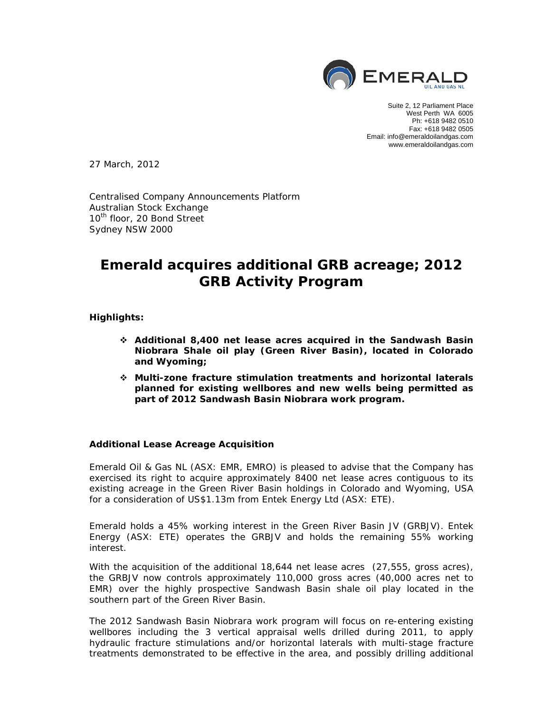

Suite 2, 12 Parliament Place West Perth WA 6005 Ph: +618 9482 0510 Fax: +618 9482 0505 Email: info@emeraldoilandgas.com www.emeraldoilandgas.com

27 March, 2012

Centralised Company Announcements Platform Australian Stock Exchange 10<sup>th</sup> floor, 20 Bond Street Sydney NSW 2000

# **Emerald acquires additional GRB acreage; 2012 GRB Activity Program**

# **Highlights:**

- **Additional 8,400 net lease acres acquired in the Sandwash Basin Niobrara Shale oil play (Green River Basin), located in Colorado and Wyoming;**
- **Multi-zone fracture stimulation treatments and horizontal laterals planned for existing wellbores and new wells being permitted as part of 2012 Sandwash Basin Niobrara work program.**

#### **Additional Lease Acreage Acquisition**

Emerald Oil & Gas NL (ASX: EMR, EMRO) is pleased to advise that the Company has exercised its right to acquire approximately 8400 net lease acres contiguous to its existing acreage in the Green River Basin holdings in Colorado and Wyoming, USA for a consideration of US\$1.13m from Entek Energy Ltd (ASX: ETE).

Emerald holds a 45% working interest in the Green River Basin JV (GRBJV). Entek Energy (ASX: ETE) operates the GRBJV and holds the remaining 55% working interest.

With the acquisition of the additional 18,644 net lease acres (27,555, gross acres), the GRBJV now controls approximately 110,000 gross acres (40,000 acres net to EMR) over the highly prospective Sandwash Basin shale oil play located in the southern part of the Green River Basin.

The 2012 Sandwash Basin Niobrara work program will focus on re-entering existing wellbores including the 3 vertical appraisal wells drilled during 2011, to apply hydraulic fracture stimulations and/or horizontal laterals with multi-stage fracture treatments demonstrated to be effective in the area, and possibly drilling additional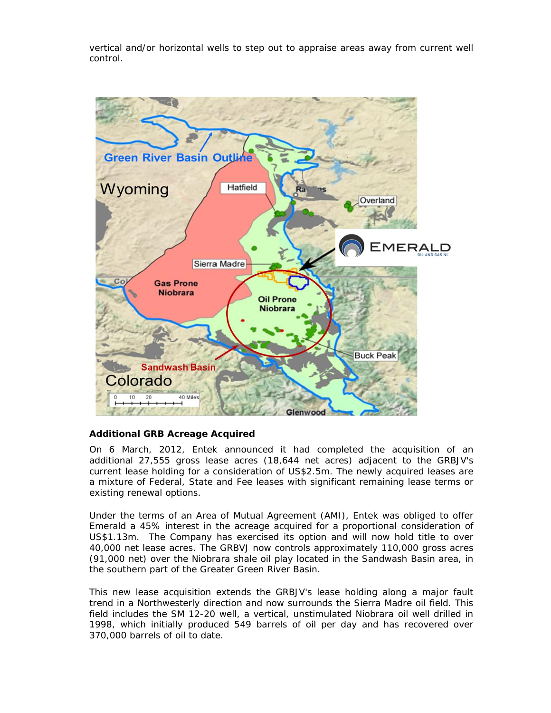vertical and/or horizontal wells to step out to appraise areas away from current well control.



# **Additional GRB Acreage Acquired**

On 6 March, 2012, Entek announced it had completed the acquisition of an additional 27,555 gross lease acres (18,644 net acres) adjacent to the GRBJV's current lease holding for a consideration of US\$2.5m. The newly acquired leases are a mixture of Federal, State and Fee leases with significant remaining lease terms or existing renewal options.

Under the terms of an Area of Mutual Agreement (AMI), Entek was obliged to offer Emerald a 45% interest in the acreage acquired for a proportional consideration of US\$1.13m. The Company has exercised its option and will now hold title to over 40,000 net lease acres. The GRBVJ now controls approximately 110,000 gross acres (91,000 net) over the Niobrara shale oil play located in the Sandwash Basin area, in the southern part of the Greater Green River Basin.

This new lease acquisition extends the GRBJV's lease holding along a major fault trend in a Northwesterly direction and now surrounds the Sierra Madre oil field. This field includes the SM 12-20 well, a vertical, unstimulated Niobrara oil well drilled in 1998, which initially produced 549 barrels of oil per day and has recovered over 370,000 barrels of oil to date.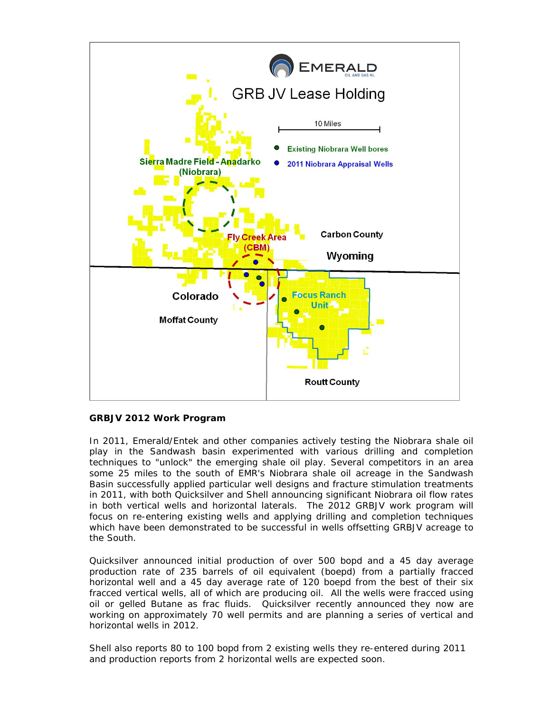

# **GRBJV 2012 Work Program**

In 2011, Emerald/Entek and other companies actively testing the Niobrara shale oil play in the Sandwash basin experimented with various drilling and completion techniques to "unlock" the emerging shale oil play. Several competitors in an area some 25 miles to the south of EMR's Niobrara shale oil acreage in the Sandwash Basin successfully applied particular well designs and fracture stimulation treatments in 2011, with both Quicksilver and Shell announcing significant Niobrara oil flow rates in both vertical wells and horizontal laterals. The 2012 GRBJV work program will focus on re-entering existing wells and applying drilling and completion techniques which have been demonstrated to be successful in wells offsetting GRBJV acreage to the South.

Quicksilver announced initial production of over 500 bopd and a 45 day average production rate of 235 barrels of oil equivalent (boepd) from a partially fracced horizontal well and a 45 day average rate of 120 boepd from the best of their six fracced vertical wells, all of which are producing oil. All the wells were fracced using oil or gelled Butane as frac fluids. Quicksilver recently announced they now are working on approximately 70 well permits and are planning a series of vertical and horizontal wells in 2012.

Shell also reports 80 to 100 bopd from 2 existing wells they re-entered during 2011 and production reports from 2 horizontal wells are expected soon.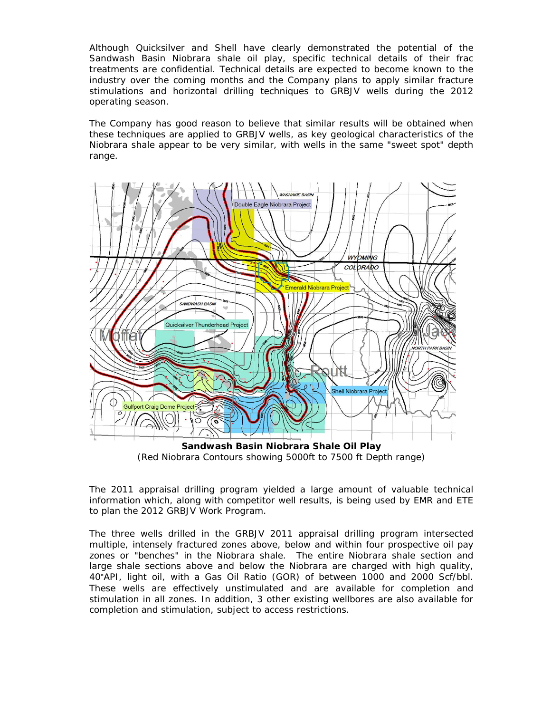Although Quicksilver and Shell have clearly demonstrated the potential of the Sandwash Basin Niobrara shale oil play, specific technical details of their frac treatments are confidential. Technical details are expected to become known to the industry over the coming months and the Company plans to apply similar fracture stimulations and horizontal drilling techniques to GRBJV wells during the 2012 operating season.

The Company has good reason to believe that similar results will be obtained when these techniques are applied to GRBJV wells, as key geological characteristics of the Niobrara shale appear to be very similar, with wells in the same "sweet spot" depth range.



(Red Niobrara Contours showing 5000ft to 7500 ft Depth range)

The 2011 appraisal drilling program yielded a large amount of valuable technical information which, along with competitor well results, is being used by EMR and ETE to plan the 2012 GRBJV Work Program.

The three wells drilled in the GRBJV 2011 appraisal drilling program intersected multiple, intensely fractured zones above, below and within four prospective oil pay zones or "benches" in the Niobrara shale. The entire Niobrara shale section and large shale sections above and below the Niobrara are charged with high quality, 40°API, light oil, with a Gas Oil Ratio (GOR) of between 1000 and 2000 Scf/bbl. These wells are effectively unstimulated and are available for completion and stimulation in all zones. In addition, 3 other existing wellbores are also available for completion and stimulation, subject to access restrictions.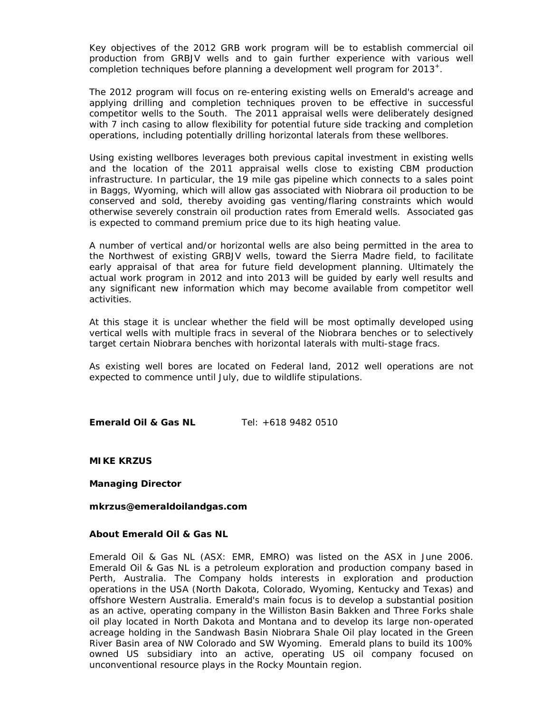Key objectives of the 2012 GRB work program will be to establish commercial oil production from GRBJV wells and to gain further experience with various well completion techniques before planning a development well program for 2013<sup>+</sup>.

The 2012 program will focus on re-entering existing wells on Emerald's acreage and applying drilling and completion techniques proven to be effective in successful competitor wells to the South. The 2011 appraisal wells were deliberately designed with 7 inch casing to allow flexibility for potential future side tracking and completion operations, including potentially drilling horizontal laterals from these wellbores.

Using existing wellbores leverages both previous capital investment in existing wells and the location of the 2011 appraisal wells close to existing CBM production infrastructure. In particular, the 19 mile gas pipeline which connects to a sales point in Baggs, Wyoming, which will allow gas associated with Niobrara oil production to be conserved and sold, thereby avoiding gas venting/flaring constraints which would otherwise severely constrain oil production rates from Emerald wells. Associated gas is expected to command premium price due to its high heating value.

A number of vertical and/or horizontal wells are also being permitted in the area to the Northwest of existing GRBJV wells, toward the Sierra Madre field, to facilitate early appraisal of that area for future field development planning. Ultimately the actual work program in 2012 and into 2013 will be guided by early well results and any significant new information which may become available from competitor well activities.

At this stage it is unclear whether the field will be most optimally developed using vertical wells with multiple fracs in several of the Niobrara benches or to selectively target certain Niobrara benches with horizontal laterals with multi-stage fracs.

As existing well bores are located on Federal land, 2012 well operations are not expected to commence until July, due to wildlife stipulations.

**Emerald Oil & Gas NL** Tel: +618 9482 0510

**MIKE KRZUS** 

**Managing Director** 

*mkrzus@emeraldoilandgas.com* 

#### **About Emerald Oil & Gas NL**

Emerald Oil & Gas NL (ASX: EMR, EMRO) was listed on the ASX in June 2006. Emerald Oil & Gas NL is a petroleum exploration and production company based in Perth, Australia. The Company holds interests in exploration and production operations in the USA (North Dakota, Colorado, Wyoming, Kentucky and Texas) and offshore Western Australia. Emerald's main focus is to develop a substantial position as an active, operating company in the Williston Basin Bakken and Three Forks shale oil play located in North Dakota and Montana and to develop its large non-operated acreage holding in the Sandwash Basin Niobrara Shale Oil play located in the Green River Basin area of NW Colorado and SW Wyoming. Emerald plans to build its 100% owned US subsidiary into an active, operating US oil company focused on unconventional resource plays in the Rocky Mountain region.